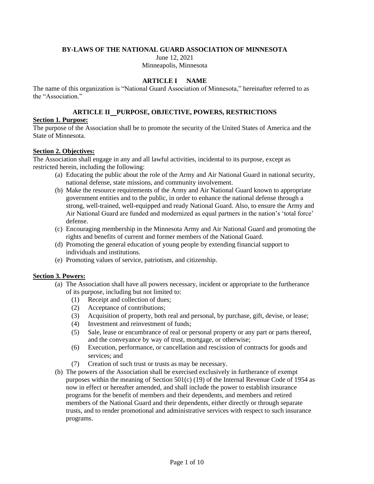### **BY-LAWS OF THE NATIONAL GUARD ASSOCIATION OF MINNESOTA**

June 12, 2021 Minneapolis, Minnesota

### **ARTICLE I NAME**

The name of this organization is "National Guard Association of Minnesota," hereinafter referred to as the "Association."

### **ARTICLE II PURPOSE, OBJECTIVE, POWERS, RESTRICTIONS**

### **Section 1. Purpose:**

The purpose of the Association shall be to promote the security of the United States of America and the State of Minnesota.

## **Section 2. Objectives:**

The Association shall engage in any and all lawful activities, incidental to its purpose, except as restricted herein, including the following:

- (a) Educating the public about the role of the Army and Air National Guard in national security, national defense, state missions, and community involvement.
- (b) Make the resource requirements of the Army and Air National Guard known to appropriate government entities and to the public, in order to enhance the national defense through a strong, well-trained, well-equipped and ready National Guard. Also, to ensure the Army and Air National Guard are funded and modernized as equal partners in the nation's 'total force' defense.
- (c) Encouraging membership in the Minnesota Army and Air National Guard and promoting the rights and benefits of current and former members of the National Guard.
- (d) Promoting the general education of young people by extending financial support to individuals and institutions.
- (e) Promoting values of service, patriotism, and citizenship.

### **Section 3. Powers:**

- (a) The Association shall have all powers necessary, incident or appropriate to the furtherance of its purpose, including but not limited to:
	- (1) Receipt and collection of dues;
	- (2) Acceptance of contributions;
	- (3) Acquisition of property, both real and personal, by purchase, gift, devise, or lease;
	- (4) Investment and reinvestment of funds;
	- (5) Sale, lease or encumbrance of real or personal property or any part or parts thereof, and the conveyance by way of trust, mortgage, or otherwise;
	- (6) Execution, performance, or cancellation and rescission of contracts for goods and services; and
	- (7) Creation of such trust or trusts as may be necessary.
- (b) The powers of the Association shall be exercised exclusively in furtherance of exempt purposes within the meaning of Section 501(c) (19) of the Internal Revenue Code of 1954 as now in effect or hereafter amended, and shall include the power to establish insurance programs for the benefit of members and their dependents, and members and retired members of the National Guard and their dependents, either directly or through separate trusts, and to render promotional and administrative services with respect to such insurance programs.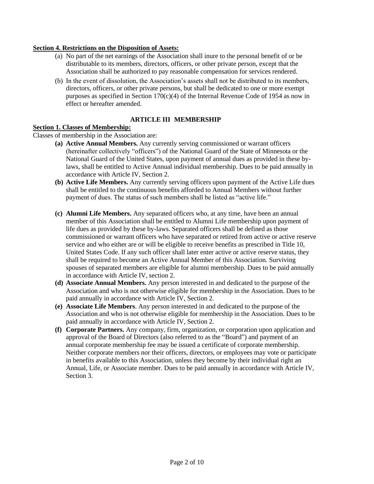### **Section 4. Restrictions on the Disposition of Assets:**

- (a) No part of the net earnings of the Association shall inure to the personal benefit of or be distributable to its members, directors, officers, or other private person, except that the Association shall be authorized to pay reasonable compensation for services rendered.
- (b) In the event of dissolution, the Association's assets shall not be distributed to its members, directors, officers, or other private persons, but shall be dedicated to one or more exempt purposes as specified in Section  $170(c)(4)$  of the Internal Revenue Code of 1954 as now in effect or hereafter amended.

## **ARTICLE III MEMBERSHIP**

#### **Section 1. Classes of Membership:**

Classes of membership in the Association are:

- **(a) Active Annual Members.** Any currently serving commissioned or warrant officers (hereinafter collectively "officers") of the National Guard of the State of Minnesota or the National Guard of the United States, upon payment of annual dues as provided in these bylaws, shall be entitled to Active Annual individual membership. Dues to be paid annually in accordance with Article IV, Section 2.
- **(b) Active Life Members.** Any currently serving officers upon payment of the Active Life dues shall be entitled to the continuous benefits afforded to Annual Members without further payment of dues. The status of such members shall be listed as "active life."
- **(c) Alumni Life Members.** Any separated officers who, at any time, have been an annual member of this Association shall be entitled to Alumni Life membership upon payment of life dues as provided by these by-laws. Separated officers shall be defined as those commissioned or warrant officers who have separated or retired from active or active reserve service and who either are or will be eligible to receive benefits as prescribed in Title 10, United States Code. If any such officer shall later enter active or active reserve status, they shall be required to become an Active Annual Member of this Association. Surviving spouses of separated members are eligible for alumni membership. Dues to be paid annually in accordance with Article IV, section 2.
- **(d) Associate Annual Members.** Any person interested in and dedicated to the purpose of the Association and who is not otherwise eligible for membership in the Association. Dues to be paid annually in accordance with Article IV, Section 2.
- **(e) Associate Life Members**. Any person interested in and dedicated to the purpose of the Association and who is not otherwise eligible for membership in the Association. Dues to be paid annually in accordance with Article IV, Section 2.
- **(f) Corporate Partners.** Any company, firm, organization, or corporation upon application and approval of the Board of Directors (also referred to as the "Board") and payment of an annual corporate membership fee may be issued a certificate of corporate membership. Neither corporate members nor their officers, directors, or employees may vote or participate in benefits available to this Association, unless they become by their individual right an Annual, Life, or Associate member. Dues to be paid annually in accordance with Article IV, Section 3.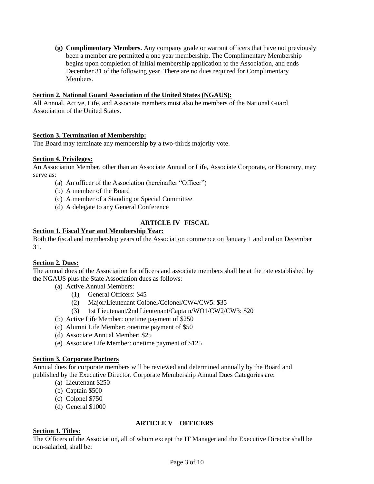**(g) Complimentary Members.** Any company grade or warrant officers that have not previously been a member are permitted a one year membership. The Complimentary Membership begins upon completion of initial membership application to the Association, and ends December 31 of the following year. There are no dues required for Complimentary Members.

#### **Section 2. National Guard Association of the United States (NGAUS):**

All Annual, Active, Life, and Associate members must also be members of the National Guard Association of the United States.

### **Section 3. Termination of Membership:**

The Board may terminate any membership by a two-thirds majority vote.

#### **Section 4. Privileges:**

An Association Member, other than an Associate Annual or Life, Associate Corporate, or Honorary, may serve as:

- (a) An officer of the Association (hereinafter "Officer")
- (b) A member of the Board
- (c) A member of a Standing or Special Committee
- (d) A delegate to any General Conference

### **ARTICLE IV FISCAL**

### **Section 1. Fiscal Year and Membership Year:**

Both the fiscal and membership years of the Association commence on January 1 and end on December 31.

#### **Section 2. Dues:**

The annual dues of the Association for officers and associate members shall be at the rate established by the NGAUS plus the State Association dues as follows:

- (a) Active Annual Members:
	- (1) General Officers: \$45
	- (2) Major/Lieutenant Colonel/Colonel/CW4/CW5: \$35
	- (3) 1st Lieutenant/2nd Lieutenant/Captain/WO1/CW2/CW3: \$20
- (b) Active Life Member: onetime payment of \$250
- (c) Alumni Life Member: onetime payment of \$50
- (d) Associate Annual Member: \$25
- (e) Associate Life Member: onetime payment of \$125

### **Section 3. Corporate Partners**

Annual dues for corporate members will be reviewed and determined annually by the Board and published by the Executive Director. Corporate Membership Annual Dues Categories are:

- (a) Lieutenant \$250
- (b) Captain \$500
- (c) Colonel \$750
- (d) General \$1000

### **ARTICLE V OFFICERS**

### **Section 1. Titles:**

The Officers of the Association, all of whom except the IT Manager and the Executive Director shall be non-salaried, shall be: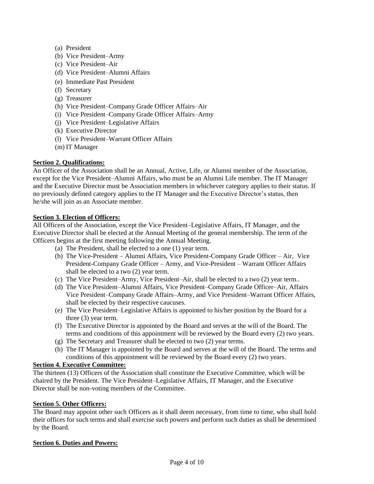- (a) President
- (b) Vice President–Army
- (c) Vice President–Air
- (d) Vice President–Alumni Affairs
- (e) Immediate Past President
- (f) Secretary
- (g) Treasurer
- (h) Vice President–Company Grade Officer Affairs–Air
- (i) Vice President–Company Grade Officer Affairs–Army
- (j) Vice President–Legislative Affairs
- (k) Executive Director
- (l) Vice President–Warrant Officer Affairs
- (m) IT Manager

## **Section 2. Qualifications:**

An Officer of the Association shall be an Annual, Active, Life, or Alumni member of the Association, except for the Vice President–Alumni Affairs, who must be an Alumni Life member. The IT Manager and the Executive Director must be Association members in whichever category applies to their status. If no previously defined category applies to the IT Manager and the Executive Director's status, then he/she will join as an Associate member.

### **Section 3. Election of Officers:**

All Officers of the Association, except the Vice President–Legislative Affairs, IT Manager, and the Executive Director shall be elected at the Annual Meeting of the general membership. The term of the Officers begins at the first meeting following the Annual Meeting.

- (a) The President, shall be elected to a one (1) year term.
- (b) The Vice-President Alumni Affairs, Vice President-Company Grade Officer Air, Vice President-Company Grade Officer – Army, and Vice-President – Warrant Officer Affairs shall be elected to a two (2) year term.
- (c) The Vice President–Army, Vice President–Air, shall be elected to a two (2) year term..
- (d) The Vice President–Alumni Affairs, Vice President–Company Grade Officer–Air, Affairs Vice President–Company Grade Affairs–Army, and Vice President–Warrant Officer Affairs, shall be elected by their respective caucuses.
- (e) The Vice President–Legislative Affairs is appointed to his/her position by the Board for a three (3) year term.
- (f) The Executive Director is appointed by the Board and serves at the will of the Board. The terms and conditions of this appointment will be reviewed by the Board every (2) two years.
- (g) The Secretary and Treasurer shall be elected to two (2) year terms.
- (h) The IT Manager is appointed by the Board and serves at the will of the Board. The terms and conditions of this appointment will be reviewed by the Board every (2) two years.

## **Section 4. Executive Committee:**

The thirteen (13) Officers of the Association shall constitute the Executive Committee, which will be chaired by the President. The Vice President–Legislative Affairs, IT Manager, and the Executive Director shall be non-voting members of the Committee.

### **Section 5. Other Officers:**

The Board may appoint other such Officers as it shall deem necessary, from time to time, who shall hold their offices for such terms and shall exercise such powers and perform such duties as shall be determined by the Board.

### **Section 6. Duties and Powers:**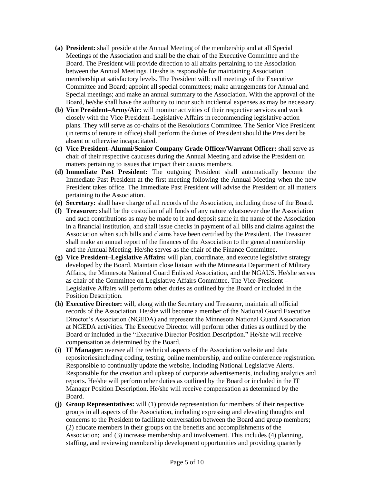- **(a) President:** shall preside at the Annual Meeting of the membership and at all Special Meetings of the Association and shall be the chair of the Executive Committee and the Board. The President will provide direction to all affairs pertaining to the Association between the Annual Meetings. He/she is responsible for maintaining Association membership at satisfactory levels. The President will: call meetings of the Executive Committee and Board; appoint all special committees; make arrangements for Annual and Special meetings; and make an annual summary to the Association. With the approval of the Board, he/she shall have the authority to incur such incidental expenses as may be necessary.
- **(b) Vice President–Army/Air:** will monitor activities of their respective services and work closely with the Vice President–Legislative Affairs in recommending legislative action plans. They will serve as co-chairs of the Resolutions Committee. The Senior Vice President (in terms of tenure in office) shall perform the duties of President should the President be absent or otherwise incapacitated.
- **(c) Vice President–Alumni/Senior Company Grade Officer/Warrant Officer:** shall serve as chair of their respective caucuses during the Annual Meeting and advise the President on matters pertaining to issues that impact their caucus members.
- **(d) Immediate Past President:** The outgoing President shall automatically become the Immediate Past President at the first meeting following the Annual Meeting when the new President takes office. The Immediate Past President will advise the President on all matters pertaining to the Association.
- **(e) Secretary:** shall have charge of all records of the Association, including those of the Board.
- **(f) Treasurer:** shall be the custodian of all funds of any nature whatsoever due the Association and such contributions as may be made to it and deposit same in the name of the Association in a financial institution, and shall issue checks in payment of all bills and claims against the Association when such bills and claims have been certified by the President. The Treasurer shall make an annual report of the finances of the Association to the general membership and the Annual Meeting. He/she serves as the chair of the Finance Committee.
- **(g) Vice President–Legislative Affairs:** will plan, coordinate, and execute legislative strategy developed by the Board. Maintain close liaison with the Minnesota Department of Military Affairs, the Minnesota National Guard Enlisted Association, and the NGAUS. He/she serves as chair of the Committee on Legislative Affairs Committee. The Vice-President – Legislative Affairs will perform other duties as outlined by the Board or included in the Position Description.
- **(h) Executive Director:** will, along with the Secretary and Treasurer, maintain all official records of the Association. He/she will become a member of the National Guard Executive Director's Association (NGEDA) and represent the Minnesota National Guard Association at NGEDA activities. The Executive Director will perform other duties as outlined by the Board or included in the "Executive Director Position Description." He/she will receive compensation as determined by the Board.
- **(i) IT Manager:** oversee all the technical aspects of the Association website and data repositoriesincluding coding, testing, online membership, and online conference registration. Responsible to continually update the website, including National Legislative Alerts. Responsible for the creation and upkeep of corporate advertisements, including analytics and reports. He/she will perform other duties as outlined by the Board or included in the IT Manager Position Description. He/she will receive compensation as determined by the Board.
- **(j) Group Representatives:** will (1) provide representation for members of their respective groups in all aspects of the Association, including expressing and elevating thoughts and concerns to the President to facilitate conversation between the Board and group members; (2) educate members in their groups on the benefits and accomplishments of the Association; and (3) increase membership and involvement. This includes (4) planning, staffing, and reviewing membership development opportunities and providing quarterly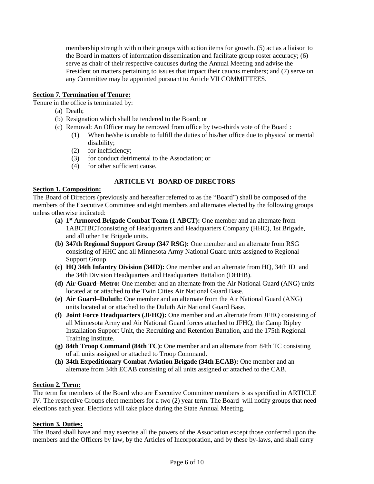membership strength within their groups with action items for growth. (5) act as a liaison to the Board in matters of information dissemination and facilitate group roster accuracy; (6) serve as chair of their respective caucuses during the Annual Meeting and advise the President on matters pertaining to issues that impact their caucus members; and (7) serve on any Committee may be appointed pursuant to Article VII COMMITTEES.

## **Section 7. Termination of Tenure:**

Tenure in the office is terminated by:

- (a) Death;
- (b) Resignation which shall be tendered to the Board; or
- (c) Removal: An Officer may be removed from office by two-thirds vote of the Board :
	- (1) When he/she is unable to fulfill the duties of his/her office due to physical or mental disability;
		- (2) for inefficiency;
	- (3) for conduct detrimental to the Association; or
	- (4) for other sufficient cause.

## **ARTICLE VI BOARD OF DIRECTORS**

#### **Section 1. Composition:**

The Board of Directors (previously and hereafter referred to as the "Board") shall be composed of the members of the Executive Committee and eight members and alternates elected by the following groups unless otherwise indicated:

- **(a) 1 st Armored Brigade Combat Team (1 ABCT):** One member and an alternate from 1ABCTBCTconsisting of Headquarters and Headquarters Company (HHC), 1st Brigade, and all other 1st Brigade units.
- **(b) 347th Regional Support Group (347 RSG):** One member and an alternate from RSG consisting of HHC and all Minnesota Army National Guard units assigned to Regional Support Group.
- **(c) HQ 34th Infantry Division (34ID):** One member and an alternate from HQ, 34th ID and the 34th Division Headquarters and Headquarters Battalion (DHHB).
- **(d) Air Guard–Metro:** One member and an alternate from the Air National Guard (ANG) units located at or attached to the Twin Cities Air National Guard Base.
- **(e) Air Guard–Duluth:** One member and an alternate from the Air National Guard (ANG) units located at or attached to the Duluth Air National Guard Base.
- **(f) Joint Force Headquarters (JFHQ):** One member and an alternate from JFHQ consisting of all Minnesota Army and Air National Guard forces attached to JFHQ, the Camp Ripley Installation Support Unit, the Recruiting and Retention Battalion, and the 175th Regional Training Institute.
- **(g) 84th Troop Command (84th TC):** One member and an alternate from 84th TC consisting of all units assigned or attached to Troop Command.
- **(h) 34th Expeditionary Combat Aviation Brigade (34th ECAB):** One member and an alternate from 34th ECAB consisting of all units assigned or attached to the CAB.

#### **Section 2. Term:**

The term for members of the Board who are Executive Committee members is as specified in ARTICLE IV. The respective Groups elect members for a two (2) year term. The Board will notify groups that need elections each year. Elections will take place during the State Annual Meeting.

#### **Section 3. Duties:**

The Board shall have and may exercise all the powers of the Association except those conferred upon the members and the Officers by law, by the Articles of Incorporation, and by these by-laws, and shall carry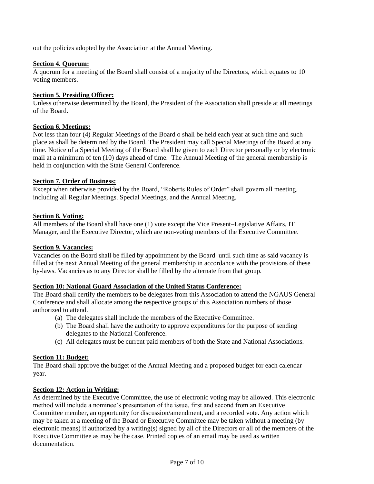out the policies adopted by the Association at the Annual Meeting.

### **Section 4. Quorum:**

A quorum for a meeting of the Board shall consist of a majority of the Directors, which equates to 10 voting members.

## **Section 5. Presiding Officer:**

Unless otherwise determined by the Board, the President of the Association shall preside at all meetings of the Board.

## **Section 6. Meetings:**

Not less than four (4) Regular Meetings of the Board o shall be held each year at such time and such place as shall be determined by the Board. The President may call Special Meetings of the Board at any time. Notice of a Special Meeting of the Board shall be given to each Director personally or by electronic mail at a minimum of ten (10) days ahead of time. The Annual Meeting of the general membership is held in conjunction with the State General Conference.

## **Section 7. Order of Business:**

Except when otherwise provided by the Board, "Roberts Rules of Order" shall govern all meeting, including all Regular Meetings. Special Meetings, and the Annual Meeting.

## **Section 8. Voting:**

All members of the Board shall have one (1) vote except the Vice Present**–**Legislative Affairs, IT Manager, and the Executive Director, which are non-voting members of the Executive Committee.

### **Section 9. Vacancies:**

Vacancies on the Board shall be filled by appointment by the Board until such time as said vacancy is filled at the next Annual Meeting of the general membership in accordance with the provisions of these by-laws. Vacancies as to any Director shall be filled by the alternate from that group.

### **Section 10: National Guard Association of the United Status Conference:**

The Board shall certify the members to be delegates from this Association to attend the NGAUS General Conference and shall allocate among the respective groups of this Association numbers of those authorized to attend.

- (a) The delegates shall include the members of the Executive Committee.
- (b) The Board shall have the authority to approve expenditures for the purpose of sending delegates to the National Conference.
- (c) All delegates must be current paid members of both the State and National Associations.

## **Section 11: Budget:**

The Board shall approve the budget of the Annual Meeting and a proposed budget for each calendar year.

## **Section 12: Action in Writing:**

As determined by the Executive Committee, the use of electronic voting may be allowed. This electronic method will include a nominee's presentation of the issue, first and second from an Executive Committee member, an opportunity for discussion/amendment, and a recorded vote. Any action which may be taken at a meeting of the Board or Executive Committee may be taken without a meeting (by electronic means) if authorized by a writing(s) signed by all of the Directors or all of the members of the Executive Committee as may be the case. Printed copies of an email may be used as written documentation.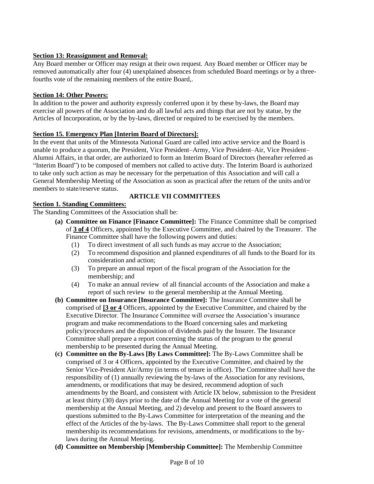## **Section 13: Reassignment and Removal:**

Any Board member or Officer may resign at their own request. Any Board member or Officer may be removed automatically after four (4) unexplained absences from scheduled Board meetings or by a threefourths vote of the remaining members of the entire Board,.

### **Section 14: Other Powers:**

In addition to the power and authority expressly conferred upon it by these by-laws, the Board may exercise all powers of the Association and do all lawful acts and things that are not by statue, by the Articles of Incorporation, or by the by-laws, directed or required to be exercised by the members.

### **Section 15. Emergency Plan [Interim Board of Directors]:**

In the event that units of the Minnesota National Guard are called into active service and the Board is unable to produce a quorum, the President, Vice President–Army, Vice President–Air, Vice President– Alumni Affairs, in that order, are authorized to form an Interim Board of Directors (hereafter referred as "Interim Board") to be composed of members not called to active duty. The Interim Board is authorized to take only such action as may be necessary for the perpetuation of this Association and will call a General Membership Meeting of the Association as soon as practical after the return of the units and/or members to state/reserve status.

# **ARTICLE VII COMMITTEES**

### **Section 1. Standing Committees:**

The Standing Committees of the Association shall be:

- **(a) Committee on Finance [Finance Committee]:** The Finance Committee shall be comprised of **3 of 4** Officers, appointed by the Executive Committee, and chaired by the Treasurer. The Finance Committee shall have the following powers and duties:
	- (1) To direct investment of all such funds as may accrue to the Association;
	- (2) To recommend disposition and planned expenditures of all funds to the Board for its consideration and action;
	- (3) To prepare an annual report of the fiscal program of the Association for the membership; and
	- (4) To make an annual review of all financial accounts of the Association and make a report of such review to the general membership at the Annual Meeting.
- **(b) Committee on Insurance [Insurance Committee]:** The Insurance Committee shall be comprised of **[3 or 4** Officers, appointed by the Executive Committee, and chaired by the Executive Director. The Insurance Committee will oversee the Association's insurance program and make recommendations to the Board concerning sales and marketing policy/procedures and the disposition of dividends paid by the Insurer. The Insurance Committee shall prepare a report concerning the status of the program to the general membership to be presented during the Annual Meeting.
- **(c) Committee on the By-Laws [By Laws Committee]:** The By-Laws Committee shall be comprised of 3 or 4 Officers, appointed by the Executive Committee, and chaired by the Senior Vice-President Air/Army (in terms of tenure in office). The Committee shall have the responsibility of (1) annually reviewing the by-laws of the Association for any revisions, amendments, or modifications that may be desired, recommend adoption of such amendments by the Board, and consistent with Article IX below, submission to the President at least thirty (30) days prior to the date of the Annual Meeting for a vote of the general membership at the Annual Meeting, and 2) develop and present to the Board answers to questions submitted to the By-Laws Committee for interpretation of the meaning and the effect of the Articles of the by-laws. The By-Laws Committee shall report to the general membership its recommendations for revisions, amendments, or modifications to the bylaws during the Annual Meeting.
- **(d) Committee on Membership [Membership Committee]:** The Membership Committee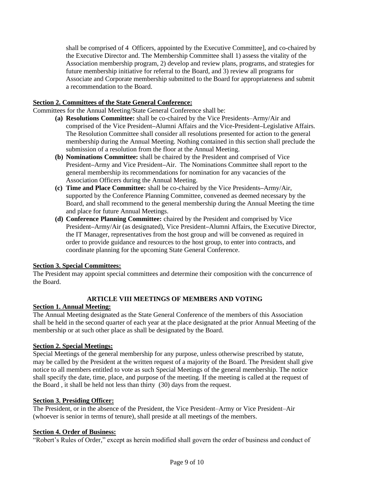shall be comprised of 4 Officers, appointed by the Executive Committee], and co-chaired by the Executive Director and. The Membership Committee shall 1) assess the vitality of the Association membership program, 2) develop and review plans, programs, and strategies for future membership initiative for referral to the Board, and 3) review all programs for Associate and Corporate membership submitted to the Board for appropriateness and submit a recommendation to the Board.

## **Section 2. Committees of the State General Conference:**

Committees for the Annual Meeting/State General Conference shall be:

- **(a) Resolutions Committee:** shall be co-chaired by the Vice Presidents–Army/Air and comprised of the Vice President**–**Alumni Affairs and the Vice-President**–**Legislative Affairs. The Resolution Committee shall consider all resolutions presented for action to the general membership during the Annual Meeting. Nothing contained in this section shall preclude the submission of a resolution from the floor at the Annual Meeting.
- **(b) Nominations Committee:** shall be chaired by the President and comprised of Vice President**–**Army and Vice President**–**Air. The Nominations Committee shall report to the general membership its recommendations for nomination for any vacancies of the Association Officers during the Annual Meeting.
- **(c) Time and Place Committee:** shall be co-chaired by the Vice Presidents**–**Army/Air, supported by the Conference Planning Committee, convened as deemed necessary by the Board, and shall recommend to the general membership during the Annual Meeting the time and place for future Annual Meetings.
- **(d) Conference Planning Committee:** chaired by the President and comprised by Vice President**–**Army/Air (as designated), Vice President**–**Alumni Affairs, the Executive Director, the IT Manager, representatives from the host group and will be convened as required in order to provide guidance and resources to the host group, to enter into contracts, and coordinate planning for the upcoming State General Conference.

### **Section 3. Special Committees:**

The President may appoint special committees and determine their composition with the concurrence of the Board.

### **ARTICLE VIII MEETINGS OF MEMBERS AND VOTING**

#### **Section 1. Annual Meeting:**

The Annual Meeting designated as the State General Conference of the members of this Association shall be held in the second quarter of each year at the place designated at the prior Annual Meeting of the membership or at such other place as shall be designated by the Board.

### **Section 2. Special Meetings:**

Special Meetings of the general membership for any purpose, unless otherwise prescribed by statute, may be called by the President at the written request of a majority of the Board. The President shall give notice to all members entitled to vote as such Special Meetings of the general membership. The notice shall specify the date, time, place, and purpose of the meeting. If the meeting is called at the request of the Board , it shall be held not less than thirty (30) days from the request.

#### **Section 3. Presiding Officer:**

The President, or in the absence of the President, the Vice President–Army or Vice President–Air (whoever is senior in terms of tenure), shall preside at all meetings of the members.

#### **Section 4. Order of Business:**

"Robert's Rules of Order," except as herein modified shall govern the order of business and conduct of